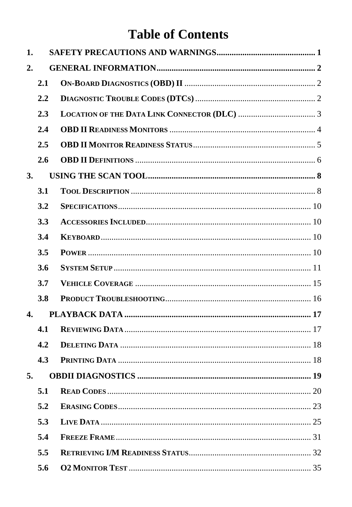## **Table of Contents**

| 1.        |     |  |
|-----------|-----|--|
| 2.        |     |  |
|           | 2.1 |  |
|           | 2.2 |  |
|           | 2.3 |  |
|           | 2.4 |  |
|           | 2.5 |  |
|           | 2.6 |  |
| <b>3.</b> |     |  |
|           | 3.1 |  |
|           | 3.2 |  |
|           | 3.3 |  |
|           | 3.4 |  |
|           | 3.5 |  |
|           | 3.6 |  |
|           | 3.7 |  |
|           | 3.8 |  |
| 4.        |     |  |
|           | 4.1 |  |
|           | 4.2 |  |
|           | 4.3 |  |
| 5.        |     |  |
|           | 5.1 |  |
|           | 5.2 |  |
|           | 5.3 |  |
|           | 5.4 |  |
|           | 5.5 |  |
|           | 5.6 |  |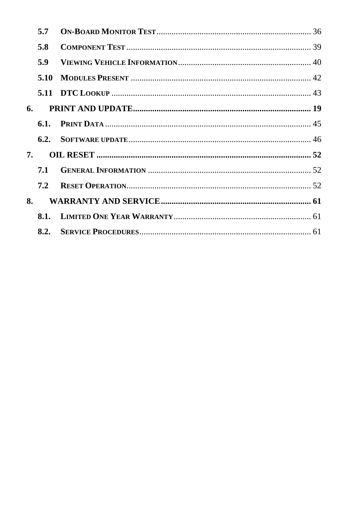|    | 5.7  |  |
|----|------|--|
|    | 5.8  |  |
|    | 5.9  |  |
|    | 5.10 |  |
|    |      |  |
| 6. |      |  |
|    |      |  |
|    |      |  |
| 7. |      |  |
|    | 7.1  |  |
|    | 7.2  |  |
| 8. |      |  |
|    |      |  |
|    |      |  |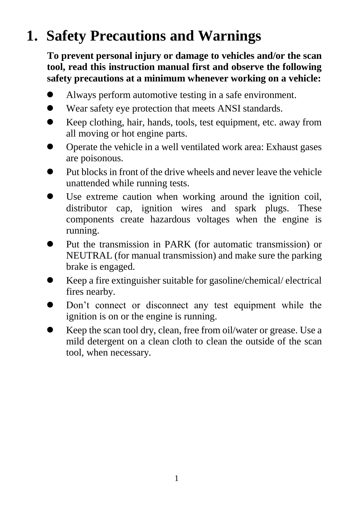# <span id="page-2-0"></span>**1. Safety Precautions and Warnings**

**To prevent personal injury or damage to vehicles and/or the scan tool, read this instruction manual first and observe the following safety precautions at a minimum whenever working on a vehicle:**

- Always perform automotive testing in a safe environment.
- Wear safety eye protection that meets ANSI standards.
- Keep clothing, hair, hands, tools, test equipment, etc. away from all moving or hot engine parts.
- Operate the vehicle in a well ventilated work area: Exhaust gases are poisonous.
- $\bullet$  Put blocks in front of the drive wheels and never leave the vehicle unattended while running tests.
- Use extreme caution when working around the ignition coil, distributor cap, ignition wires and spark plugs. These components create hazardous voltages when the engine is running.
- Put the transmission in PARK (for automatic transmission) or NEUTRAL (for manual transmission) and make sure the parking brake is engaged.
- Keep a fire extinguisher suitable for gasoline/chemical/ electrical fires nearby.
- Don't connect or disconnect any test equipment while the ignition is on or the engine is running.
- Keep the scan tool dry, clean, free from oil/water or grease. Use a mild detergent on a clean cloth to clean the outside of the scan tool, when necessary.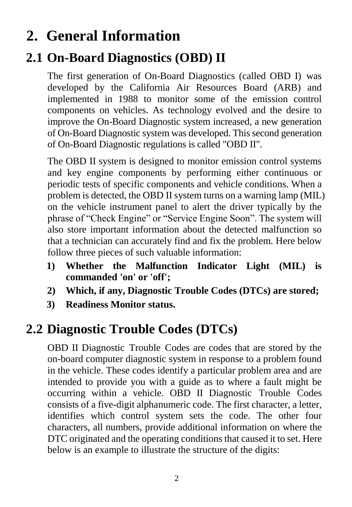# <span id="page-3-0"></span>**2. General Information**

## <span id="page-3-1"></span>**2.1 On-Board Diagnostics (OBD) II**

The first generation of On-Board Diagnostics (called OBD I) was developed by the California Air Resources Board (ARB) and implemented in 1988 to monitor some of the emission control components on vehicles. As technology evolved and the desire to improve the On-Board Diagnostic system increased, a new generation of On-Board Diagnostic system was developed. This second generation of On-Board Diagnostic regulations is called "OBD II".

The OBD II system is designed to monitor emission control systems and key engine components by performing either continuous or periodic tests of specific components and vehicle conditions. When a problem is detected, the OBD II system turns on a warning lamp (MIL) on the vehicle instrument panel to alert the driver typically by the phrase of "Check Engine" or "Service Engine Soon". The system will also store important information about the detected malfunction so that a technician can accurately find and fix the problem. Here below follow three pieces of such valuable information:

- **1) Whether the Malfunction Indicator Light (MIL) is commanded 'on' or 'off';**
- **2) Which, if any, Diagnostic Trouble Codes (DTCs) are stored;**
- **3) Readiness Monitor status.**

## <span id="page-3-2"></span>**2.2 Diagnostic Trouble Codes (DTCs)**

OBD II Diagnostic Trouble Codes are codes that are stored by the on-board computer diagnostic system in response to a problem found in the vehicle. These codes identify a particular problem area and are intended to provide you with a guide as to where a fault might be occurring within a vehicle. OBD II Diagnostic Trouble Codes consists of a five-digit alphanumeric code. The first character, a letter, identifies which control system sets the code. The other four characters, all numbers, provide additional information on where the DTC originated and the operating conditions that caused it to set. Here below is an example to illustrate the structure of the digits: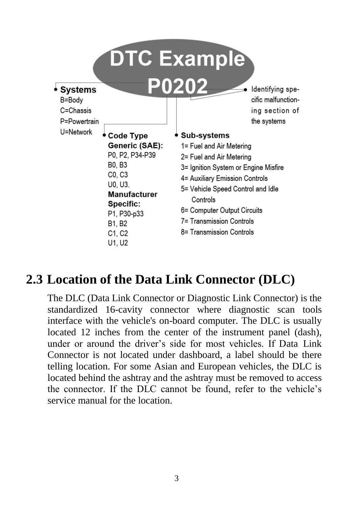

#### <span id="page-4-0"></span>**2.3 Location of the Data Link Connector (DLC)**

The DLC (Data Link Connector or Diagnostic Link Connector) is the standardized 16-cavity connector where diagnostic scan tools interface with the vehicle's on-board computer. The DLC is usually located 12 inches from the center of the instrument panel (dash), under or around the driver's side for most vehicles. If Data Link Connector is not located under dashboard, a label should be there telling location. For some Asian and European vehicles, the DLC is located behind the ashtray and the ashtray must be removed to access the connector. If the DLC cannot be found, refer to the vehicle's service manual for the location.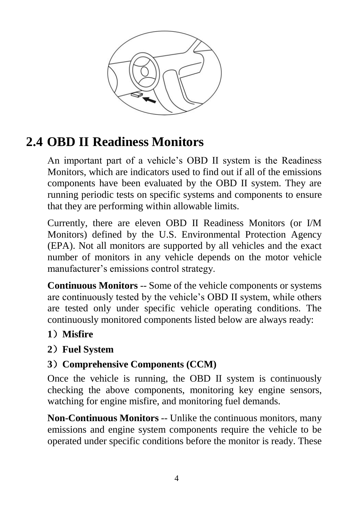

## <span id="page-5-0"></span>**2.4 OBD II Readiness Monitors**

An important part of a vehicle's OBD II system is the Readiness Monitors, which are indicators used to find out if all of the emissions components have been evaluated by the OBD II system. They are running periodic tests on specific systems and components to ensure that they are performing within allowable limits.

Currently, there are eleven OBD II Readiness Monitors (or I/M Monitors) defined by the U.S. Environmental Protection Agency (EPA). Not all monitors are supported by all vehicles and the exact number of monitors in any vehicle depends on the motor vehicle manufacturer's emissions control strategy.

**Continuous Monitors** -- Some of the vehicle components or systems are continuously tested by the vehicle's OBD II system, while others are tested only under specific vehicle operating conditions. The continuously monitored components listed below are always ready:

#### **1**)**Misfire**

#### **2**)**Fuel System**

#### **3**)**Comprehensive Components (CCM)**

Once the vehicle is running, the OBD II system is continuously checking the above components, monitoring key engine sensors, watching for engine misfire, and monitoring fuel demands.

**Non-Continuous Monitors** -- Unlike the continuous monitors, many emissions and engine system components require the vehicle to be operated under specific conditions before the monitor is ready. These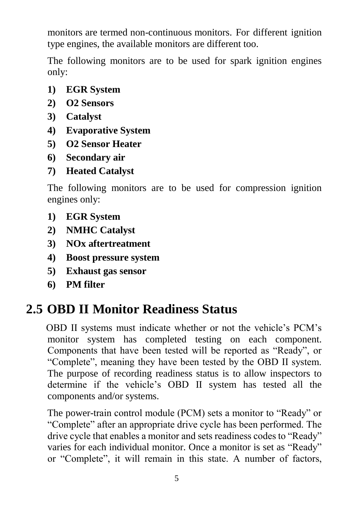monitors are termed non-continuous monitors. For different ignition type engines, the available monitors are different too.

The following monitors are to be used for spark ignition engines only:

- **1) EGR System**
- **2) O2 Sensors**
- **3) Catalyst**
- **4) Evaporative System**
- **5) O2 Sensor Heater**
- **6) Secondary air**
- **7) Heated Catalyst**

The following monitors are to be used for compression ignition engines only:

- **1) EGR System**
- **2) NMHC Catalyst**
- **3) NOx aftertreatment**
- **4) Boost pressure system**
- **5) Exhaust gas sensor**
- **6) PM filter**

#### <span id="page-6-0"></span>**2.5 OBD II Monitor Readiness Status**

OBD II systems must indicate whether or not the vehicle's PCM's monitor system has completed testing on each component. Components that have been tested will be reported as "Ready", or "Complete", meaning they have been tested by the OBD II system. The purpose of recording readiness status is to allow inspectors to determine if the vehicle's OBD II system has tested all the components and/or systems.

The power-train control module (PCM) sets a monitor to "Ready" or "Complete" after an appropriate drive cycle has been performed. The drive cycle that enables a monitor and sets readiness codes to "Ready" varies for each individual monitor. Once a monitor is set as "Ready" or "Complete", it will remain in this state. A number of factors,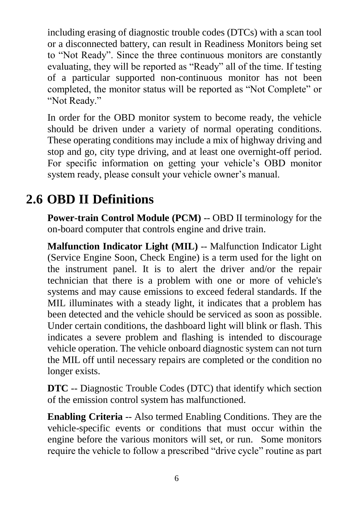including erasing of diagnostic trouble codes (DTCs) with a scan tool or a disconnected battery, can result in Readiness Monitors being set to "Not Ready". Since the three continuous monitors are constantly evaluating, they will be reported as "Ready" all of the time. If testing of a particular supported non-continuous monitor has not been completed, the monitor status will be reported as "Not Complete" or "Not Ready."

In order for the OBD monitor system to become ready, the vehicle should be driven under a variety of normal operating conditions. These operating conditions may include a mix of highway driving and stop and go, city type driving, and at least one overnight-off period. For specific information on getting your vehicle's OBD monitor system ready, please consult your vehicle owner's manual.

## <span id="page-7-0"></span>**2.6 OBD II Definitions**

**Power-train Control Module (PCM) -- OBD II terminology for the** on-board computer that controls engine and drive train.

**Malfunction Indicator Light (MIL)** -- Malfunction Indicator Light (Service Engine Soon, Check Engine) is a term used for the light on the instrument panel. It is to alert the driver and/or the repair technician that there is a problem with one or more of vehicle's systems and may cause emissions to exceed federal standards. If the MIL illuminates with a steady light, it indicates that a problem has been detected and the vehicle should be serviced as soon as possible. Under certain conditions, the dashboard light will blink or flash. This indicates a severe problem and flashing is intended to discourage vehicle operation. The vehicle onboard diagnostic system can not turn the MIL off until necessary repairs are completed or the condition no longer exists.

**DTC** -- Diagnostic Trouble Codes (DTC) that identify which section of the emission control system has malfunctioned.

**Enabling Criteria** -- Also termed Enabling Conditions. They are the vehicle-specific events or conditions that must occur within the engine before the various monitors will set, or run. Some monitors require the vehicle to follow a prescribed "drive cycle" routine as part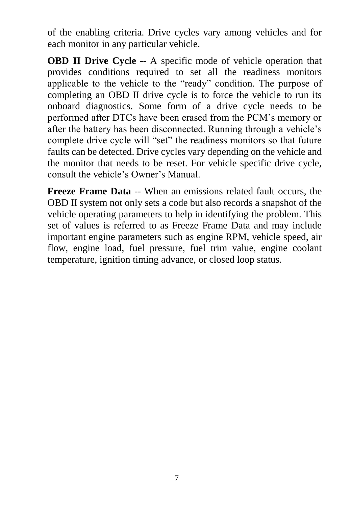of the enabling criteria. Drive cycles vary among vehicles and for each monitor in any particular vehicle.

**OBD II Drive Cycle** -- A specific mode of vehicle operation that provides conditions required to set all the readiness monitors applicable to the vehicle to the "ready" condition. The purpose of completing an OBD II drive cycle is to force the vehicle to run its onboard diagnostics. Some form of a drive cycle needs to be performed after DTCs have been erased from the PCM's memory or after the battery has been disconnected. Running through a vehicle's complete drive cycle will "set" the readiness monitors so that future faults can be detected. Drive cycles vary depending on the vehicle and the monitor that needs to be reset. For vehicle specific drive cycle, consult the vehicle's Owner's Manual.

**Freeze Frame Data** -- When an emissions related fault occurs, the OBD II system not only sets a code but also records a snapshot of the vehicle operating parameters to help in identifying the problem. This set of values is referred to as Freeze Frame Data and may include important engine parameters such as engine RPM, vehicle speed, air flow, engine load, fuel pressure, fuel trim value, engine coolant temperature, ignition timing advance, or closed loop status.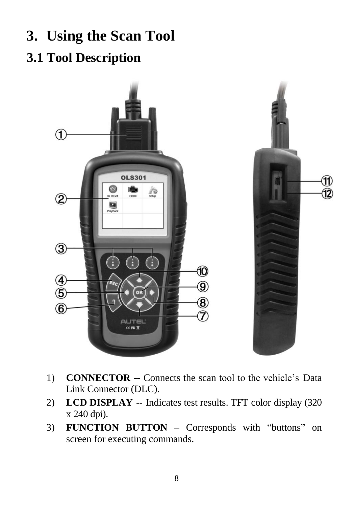# <span id="page-9-0"></span>**3. Using the Scan Tool**

## <span id="page-9-1"></span>**3.1 Tool Description**



- 1) **CONNECTOR** -- Connects the scan tool to the vehicle's Data Link Connector (DLC).
- 2) **LCD DISPLAY** -- Indicates test results. TFT color display (320 x 240 dpi).
- 3) **FUNCTION BUTTON**  Corresponds with "buttons" on screen for executing commands.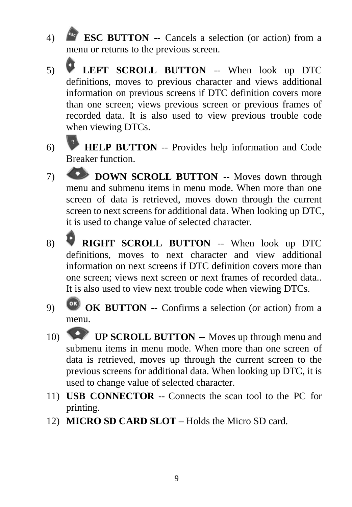- 4) **ESC BUTTON** -- Cancels a selection (or action) from a menu or returns to the previous screen.
- 5) **LEFT SCROLL BUTTON** -- When look up DTC definitions, moves to previous character and views additional information on previous screens if DTC definition covers more than one screen; views previous screen or previous frames of recorded data. It is also used to view previous trouble code when viewing DTCs.
- 6) **HELP BUTTON** -- Provides help information and Code Breaker function.
- 7) **DOWN SCROLL BUTTON** -- Moves down through menu and submenu items in menu mode. When more than one screen of data is retrieved, moves down through the current screen to next screens for additional data. When looking up DTC, it is used to change value of selected character.
- 8) **RIGHT SCROLL BUTTON** -- When look up DTC definitions, moves to next character and view additional information on next screens if DTC definition covers more than one screen; views next screen or next frames of recorded data.. It is also used to view next trouble code when viewing DTCs.
- 9) **OK BUTTON** -- Confirms a selection (or action) from a menu.
- 10) **UP SCROLL BUTTON** -- Moves up through menu and submenu items in menu mode. When more than one screen of data is retrieved, moves up through the current screen to the previous screens for additional data. When looking up DTC, it is used to change value of selected character.
- 11) **USB CONNECTOR** -- Connects the scan tool to the PC for printing.
- 12) **MICRO SD CARD SLOT –** Holds the Micro SD card.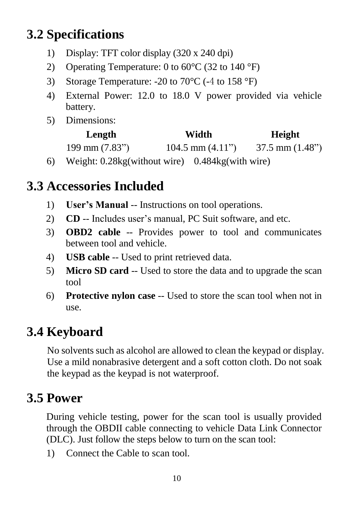## <span id="page-11-0"></span>**3.2 Specifications**

- 1) Display: TFT color display (320 x 240 dpi)
- 2) Operating Temperature: 0 to 60  $\mathbb{C}$  (32 to 140  $\mathbb{F}$ )
- 3) Storage Temperature: -20 to 70 °C (-4 to 158 °F)
- 4) External Power: 12.0 to 18.0 V power provided via vehicle battery.
- 5) Dimensions:

| Length                          | Width                | Height                     |
|---------------------------------|----------------------|----------------------------|
| $199 \text{ mm} (7.83^{\circ})$ | $104.5$ mm $(4.11")$ | $37.5$ mm $(1.48^{\circ})$ |

6) Weight: 0.28kg(without wire) 0.484kg(with wire)

## <span id="page-11-1"></span>**3.3 Accessories Included**

- 1) **User's Manual** -- Instructions on tool operations.
- 2) **CD** -- Includes user's manual, PC Suit software, and etc.
- 3) **OBD2 cable** -- Provides power to tool and communicates between tool and vehicle.
- 4) **USB cable** -- Used to print retrieved data.
- 5) **Micro SD card** -- Used to store the data and to upgrade the scan tool
- 6) **Protective nylon case** -- Used to store the scan tool when not in use.

## <span id="page-11-2"></span>**3.4 Keyboard**

No solvents such as alcohol are allowed to clean the keypad or display. Use a mild nonabrasive detergent and a soft cotton cloth. Do not soak the keypad as the keypad is not waterproof.

## <span id="page-11-3"></span>**3.5 Power**

During vehicle testing, power for the scan tool is usually provided through the OBDII cable connecting to vehicle Data Link Connector (DLC). Just follow the steps below to turn on the scan tool:

1) Connect the Cable to scan tool.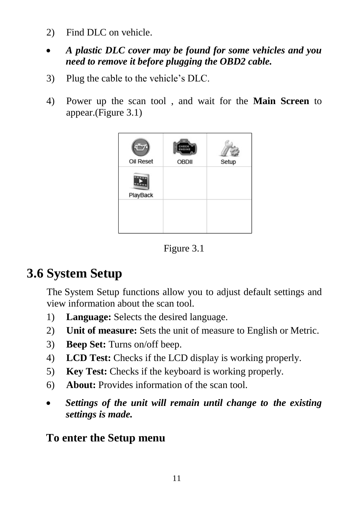- 2) Find DLC on vehicle.
- *A plastic DLC cover may be found for some vehicles and you need to remove it before plugging the OBD2 cable.*
- 3) Plug the cable to the vehicle's DLC.
- 4) Power up the scan tool , and wait for the **Main Screen** to appear.(Figure 3.1)



Figure 3.1

## <span id="page-12-0"></span>**3.6 System Setup**

The System Setup functions allow you to adjust default settings and view information about the scan tool.

- 1) **Language:** Selects the desired language.
- 2) **Unit of measure:** Sets the unit of measure to English or Metric.
- 3) **Beep Set:** Turns on/off beep.
- 4) **LCD Test:** Checks if the LCD display is working properly.
- 5) **Key Test:** Checks if the keyboard is working properly.
- 6) **About:** Provides information of the scan tool.
- *Settings of the unit will remain until change to the existing settings is made.*

#### **To enter the Setup menu**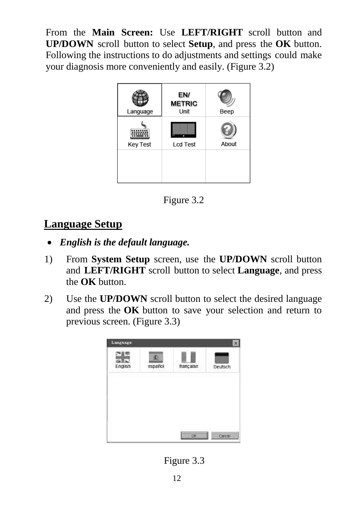From the **Main Screen:** Use **LEFT/RIGHT** scroll button and **UP/DOWN** scroll button to select **Setup**, and press the **OK** button. Following the instructions to do adjustments and settings could make your diagnosis more conveniently and easily. (Figure 3.2)



Figure 3.2

#### **Language Setup**

- *English is the default language.*
- 1) From **System Setup** screen, use the **UP/DOWN** scroll button and **LEFT/RIGHT** scroll button to select **Language**, and press the **OK** button.
- 2) Use the **UP/DOWN** scroll button to select the desired language and press the **OK** button to save your selection and return to previous screen. (Figure 3.3)



Figure 3.3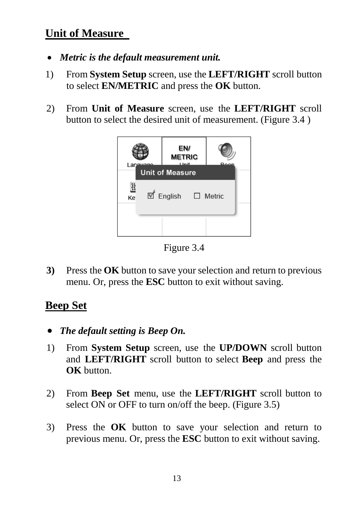#### **Unit of Measure**

- *Metric is the default measurement unit.*
- 1) From **System Setup** screen, use the **LEFT/RIGHT** scroll button to select **EN/METRIC** and press the **OK** button.
- 2) From **Unit of Measure** screen, use the **LEFT/RIGHT** scroll button to select the desired unit of measurement. (Figure 3.4 )



Figure 3.4

**3)** Press the **OK** button to save your selection and return to previous menu. Or, press the **ESC** button to exit without saving.

#### **Beep Set**

- *The default setting is Beep On.*
- 1) From **System Setup** screen, use the **UP/DOWN** scroll button and **LEFT/RIGHT** scroll button to select **Beep** and press the **OK** button.
- 2) From **Beep Set** menu, use the **LEFT/RIGHT** scroll button to select ON or OFF to turn on/off the beep. (Figure 3.5)
- 3) Press the **OK** button to save your selection and return to previous menu. Or, press the **ESC** button to exit without saving.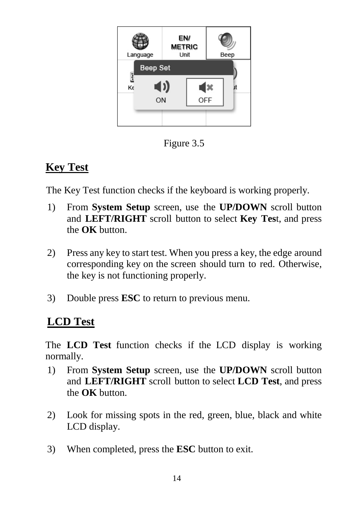

Figure 3.5

#### **Key Test**

The Key Test function checks if the keyboard is working properly.

- 1) From **System Setup** screen, use the **UP/DOWN** scroll button and **LEFT/RIGHT** scroll button to select **Key Tes**t, and press the **OK** button.
- 2) Press any key to start test. When you press a key, the edge around corresponding key on the screen should turn to red. Otherwise, the key is not functioning properly.
- 3) Double press **ESC** to return to previous menu.

#### **LCD Test**

The **LCD Test** function checks if the LCD display is working normally.

- 1) From **System Setup** screen, use the **UP/DOWN** scroll button and **LEFT/RIGHT** scroll button to select **LCD Test**, and press the **OK** button.
- 2) Look for missing spots in the red, green, blue, black and white LCD display.
- 3) When completed, press the **ESC** button to exit.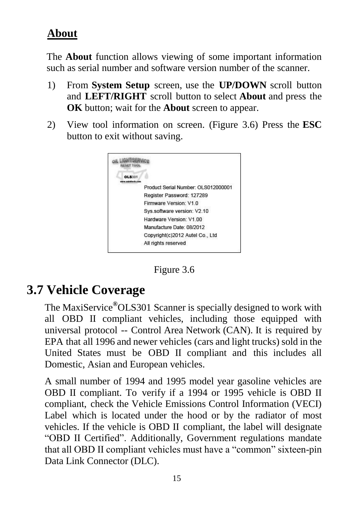#### **About**

The **About** function allows viewing of some important information such as serial number and software version number of the scanner.

- 1) From **System Setup** screen, use the **UP/DOWN** scroll button and **LEFT/RIGHT** scroll button to select **About** and press the **OK** button; wait for the **About** screen to appear.
- 2) View tool information on screen. (Figure 3.6) Press the **ESC** button to exit without saving.



Figure 3.6

#### <span id="page-16-0"></span>**3.7 Vehicle Coverage**

The MaxiService**®**OLS301 Scanner is specially designed to work with all OBD II compliant vehicles, including those equipped with universal protocol -- Control Area Network (CAN). It is required by EPA that all 1996 and newer vehicles (cars and light trucks) sold in the United States must be OBD II compliant and this includes all Domestic, Asian and European vehicles.

A small number of 1994 and 1995 model year gasoline vehicles are OBD II compliant. To verify if a 1994 or 1995 vehicle is OBD II compliant, check the Vehicle Emissions Control Information (VECI) Label which is located under the hood or by the radiator of most vehicles. If the vehicle is OBD II compliant, the label will designate "OBD II Certified". Additionally, Government regulations mandate that all OBD II compliant vehicles must have a "common" sixteen-pin Data Link Connector (DLC).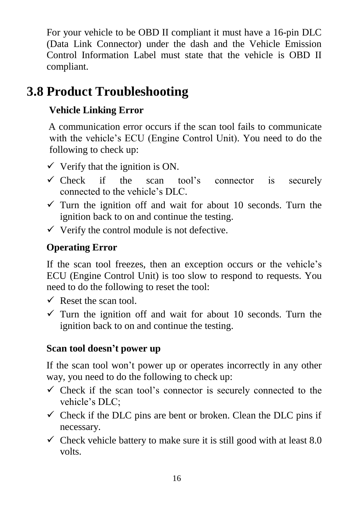For your vehicle to be OBD II compliant it must have a [16-pin DLC](http://www.obd2.com/obdii_dlc.htm) (Data Link Connector) under the dash and the Vehicle Emission Control Information Label must state that the vehicle is OBD II compliant.

## <span id="page-17-0"></span>**3.8 Product Troubleshooting**

#### **Vehicle Linking Error**

A communication error occurs if the scan tool fails to communicate with the vehicle's ECU (Engine Control Unit). You need to do the following to check up:

- $\checkmark$  Verify that the ignition is ON.
- $\checkmark$  Check if the scan tool's connector is securely connected to the vehicle's DLC.
- $\checkmark$  Turn the ignition off and wait for about 10 seconds. Turn the ignition back to on and continue the testing.
- $\checkmark$  Verify the control module is not defective.

#### **Operating Error**

If the scan tool freezes, then an exception occurs or the vehicle's ECU (Engine Control Unit) is too slow to respond to requests. You need to do the following to reset the tool:

- $\checkmark$  Reset the scan tool.
- $\checkmark$  Turn the ignition off and wait for about 10 seconds. Turn the ignition back to on and continue the testing.

#### **Scan tool doesn't power up**

If the scan tool won't power up or operates incorrectly in any other way, you need to do the following to check up:

- $\checkmark$  Check if the scan tool's connector is securely connected to the vehicle's DLC;
- $\checkmark$  Check if the DLC pins are bent or broken. Clean the DLC pins if necessary.
- $\checkmark$  Check vehicle battery to make sure it is still good with at least 8.0 volts.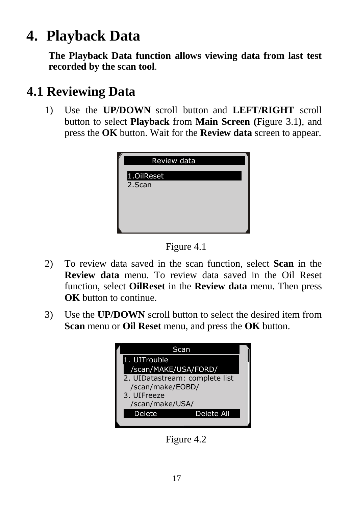# <span id="page-18-0"></span>**4. Playback Data**

**The Playback Data function allows viewing data from last test recorded by the scan tool**.

#### <span id="page-18-1"></span>**4.1 Reviewing Data**

1) Use the **UP/DOWN** scroll button and **LEFT/RIGHT** scroll button to select **Playback** from **Main Screen (**Figure 3.1**)**, and press the **OK** button. Wait for the **Review data** screen to appear.





- 2) To review data saved in the scan function, select **Scan** in the **Review data** menu. To review data saved in the Oil Reset function, select **OilReset** in the **Review data** menu. Then press **OK** button to continue.
- 3) Use the **UP/DOWN** scroll button to select the desired item from **Scan** menu or **Oil Reset** menu, and press the **OK** button.



Figure 4.2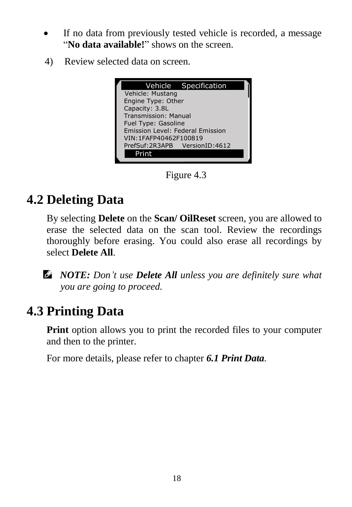- If no data from previously tested vehicle is recorded, a message "**No data available!**" shows on the screen.
- 4) Review selected data on screen.



Figure 4.3

# <span id="page-19-0"></span>**4.2 Deleting Data**

By selecting **Delete** on the **Scan/ OilReset** screen, you are allowed to erase the selected data on the scan tool. Review the recordings thoroughly before erasing. You could also erase all recordings by select **Delete All**.

*NOTE: Don't use Delete All unless you are definitely sure what you are going to proceed.*

## <span id="page-19-1"></span>**4.3 Printing Data**

**Print** option allows you to print the recorded files to your computer and then to the printer.

For more details, please refer to chapter *6.1 Print Data.*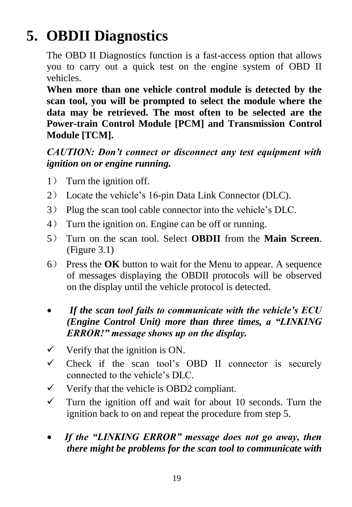# <span id="page-20-0"></span>**5. OBDII Diagnostics**

The OBD II Diagnostics function is a fast-access option that allows you to carry out a quick test on the engine system of OBD II vehicles.

**When more than one vehicle control module is detected by the scan tool, you will be prompted to select the module where the data may be retrieved. The most often to be selected are the Power-train Control Module [PCM] and Transmission Control Module [TCM].**

#### *CAUTION: Don't connect or disconnect any test equipment with ignition on or engine running.*

- 1) Turn the ignition off.
- 2) Locate the vehicle's 16-pin Data Link Connector (DLC).
- 3) Plug the scan tool cable connector into the vehicle's DLC.
- 4) Turn the ignition on. Engine can be off or running.
- 5) Turn on the scan tool. Select **OBDII** from the **Main Screen**. (Figure 3.1)
- 6) Press the **OK** button to wait for the Menu to appear. A sequence of messages displaying the OBDII protocols will be observed on the display until the vehicle protocol is detected.
- *If the scan tool fails to communicate with the vehicle's ECU (Engine Control Unit) more than three times, a "LINKING ERROR!" message shows up on the display.*
- $\checkmark$  Verify that the ignition is ON.
- $\checkmark$  Check if the scan tool's OBD II connector is securely connected to the vehicle's DLC.
- $\checkmark$  Verify that the vehicle is OBD2 compliant.
- $\checkmark$  Turn the ignition off and wait for about 10 seconds. Turn the ignition back to on and repeat the procedure from step 5.
- *If the "LINKING ERROR" message does not go away, then there might be problems for the scan tool to communicate with*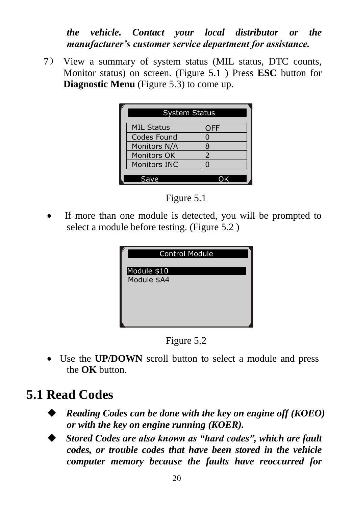#### *the vehicle. Contact your local distributor or the manufacturer's customer service department for assistance.*

7) View a summary of system status (MIL status, DTC counts, Monitor status) on screen. (Figure 5.1 ) Press **ESC** button for **Diagnostic Menu** (Figure 5.3) to come up.

| <b>System Status</b> |            |  |
|----------------------|------------|--|
| <b>MIL Status</b>    | <b>OFF</b> |  |
| Codes Found          |            |  |
| Monitors N/A         | 8          |  |
| <b>Monitors OK</b>   | 2          |  |
| Monitors INC         |            |  |
|                      |            |  |
|                      |            |  |



• If more than one module is detected, you will be prompted to select a module before testing. (Figure 5.2 )

| <b>Control Module</b> |
|-----------------------|
| Module \$10           |
| Module \$A4           |
|                       |
|                       |

Figure 5.2

 Use the **UP/DOWN** scroll button to select a module and press the **OK** button.

## **5.1 Read Codes**

- *Reading Codes can be done with the key on engine off (KOEO) or with the key on engine running (KOER).*
- *Stored Codes are also known as "hard codes", which are fault codes, or trouble codes that have been stored in the vehicle computer memory because the faults have reoccurred for*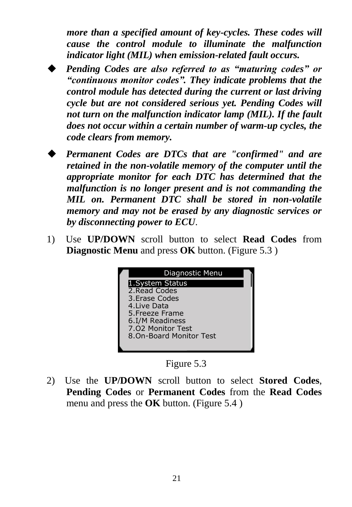*more than a specified amount of key-cycles. These codes will cause the control module to illuminate the malfunction indicator light (MIL) when emission-related fault occurs.*

 *Pending Codes are also referred to as "maturing codes" or "continuous monitor codes". They indicate problems that the control module has detected during the current or last driving cycle but are not considered serious yet. Pending Codes will not turn on the malfunction indicator lamp (MIL). If the fault does not occur within a certain number of warm-up cycles, the code clears from memory.*

- *Permanent Codes are DTCs that are "confirmed" and are retained in the non-volatile memory of the computer until the appropriate monitor for each DTC has determined that the malfunction is no longer present and is not commanding the MIL on. Permanent DTC shall be stored in non-volatile memory and may not be erased by any diagnostic services or by disconnecting power to ECU*.
- 1) Use **UP/DOWN** scroll button to select **Read Codes** from **Diagnostic Menu** and press **OK** button. (Figure 5.3 )



Figure 5.3

2) Use the **UP/DOWN** scroll button to select **Stored Codes**, **Pending Codes** or **Permanent Codes** from the **Read Codes**  menu and press the **OK** button. (Figure 5.4 )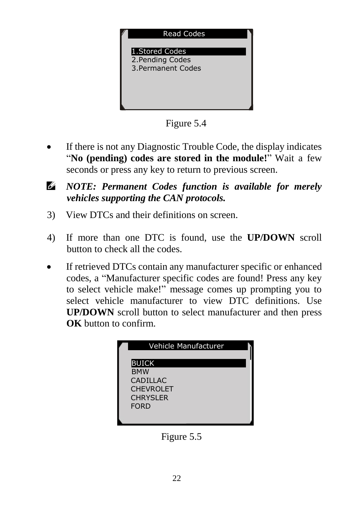

Figure 5.4

- If there is not any Diagnostic Trouble Code, the display indicates "**No (pending) codes are stored in the module!**" Wait a few seconds or press any key to return to previous screen.
- $\mathscr{C}$ *NOTE: Permanent Codes function is available for merely vehicles supporting the CAN protocols.*
- 3) View DTCs and their definitions on screen.
- 4) If more than one DTC is found, use the **UP/DOWN** scroll button to check all the codes.
- If retrieved DTCs contain any manufacturer specific or enhanced codes, a "Manufacturer specific codes are found! Press any key to select vehicle make!" message comes up prompting you to select vehicle manufacturer to view DTC definitions. Use **UP/DOWN** scroll button to select manufacturer and then press **OK** button to confirm.



Figure 5.5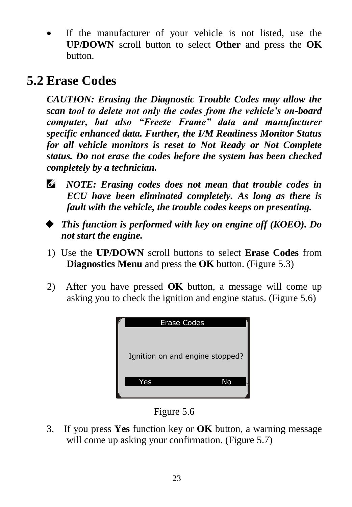If the manufacturer of your vehicle is not listed, use the **UP/DOWN** scroll button to select **Other** and press the **OK** button.

## **5.2 Erase Codes**

*CAUTION: Erasing the Diagnostic Trouble Codes may allow the scan tool to delete not only the codes from the vehicle's on-board computer, but also "Freeze Frame" data and manufacturer specific enhanced data. Further, the I/M Readiness Monitor Status for all vehicle monitors is reset to Not Ready or Not Complete status. Do not erase the codes before the system has been checked completely by a technician.* 

- *NOTE: Erasing codes does not mean that trouble codes in ECU have been eliminated completely. As long as there is fault with the vehicle, the trouble codes keeps on presenting.*
- *This function is performed with key on engine off (KOEO). Do not start the engine.*
- 1) Use the **UP/DOWN** scroll buttons to select **Erase Codes** from **Diagnostics Menu** and press the **OK** button. (Figure 5.3)
- 2) After you have pressed **OK** button, a message will come up asking you to check the ignition and engine status. (Figure 5.6)



Figure 5.6

3. If you press **Yes** function key or **OK** button, a warning message will come up asking your confirmation. (Figure 5.7)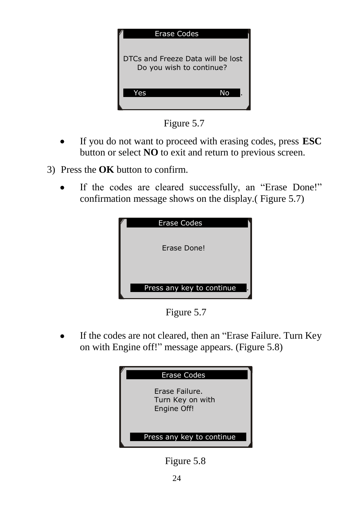

Figure 5.7

- If you do not want to proceed with erasing codes, press **ESC** button or select **NO** to exit and return to previous screen.
- 3) Press the **OK** button to confirm.
	- If the codes are cleared successfully, an "Erase Done!" confirmation message shows on the display.( Figure 5.7)



Figure 5.7

 If the codes are not cleared, then an "Erase Failure. Turn Key on with Engine off!" message appears. (Figure 5.8)



Figure 5.8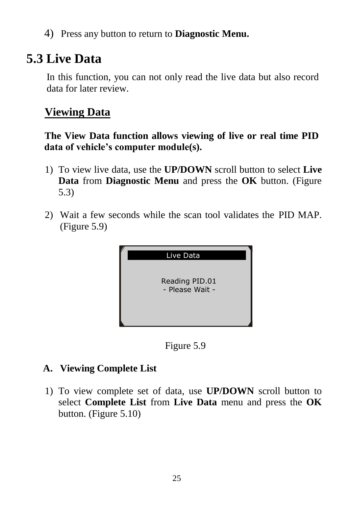4) Press any button to return to **Diagnostic Menu.**

## **5.3 Live Data**

In this function, you can not only read the live data but also record data for later review.

#### **Viewing Data**

**The View Data function allows viewing of live or real time PID data of vehicle's computer module(s).**

- 1) To view live data, use the **UP/DOWN** scroll button to select **Live Data** from **Diagnostic Menu** and press the **OK** button. (Figure 5.3)
- 2) Wait a few seconds while the scan tool validates the PID MAP. (Figure 5.9)



Figure 5.9

#### **A. Viewing Complete List**

1) To view complete set of data, use **UP/DOWN** scroll button to select **Complete List** from **Live Data** menu and press the **OK** button. (Figure 5.10)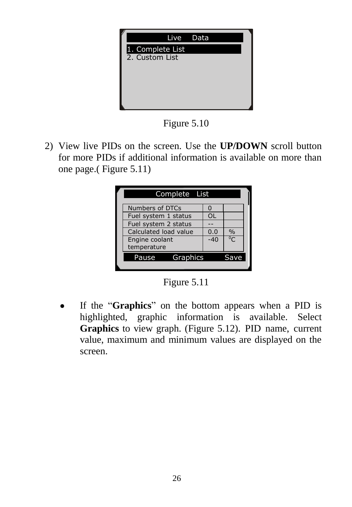

Figure 5.10

2) View live PIDs on the screen. Use the **UP/DOWN** scroll button for more PIDs if additional information is available on more than one page.( Figure 5.11)

| Complete List                 |     |       |
|-------------------------------|-----|-------|
| Numbers of DTCs               |     |       |
| Fuel system 1 status          | OL  |       |
| Fuel system 2 status          |     |       |
| Calculated load value         | 0.0 | $\%$  |
| Engine coolant<br>temperature | -40 | $^0C$ |
| Pause<br>Graphics             |     | Save  |
|                               |     |       |

Figure 5.11

 If the "**Graphics**" on the bottom appears when a PID is highlighted, graphic information is available. Select **Graphics** to view graph. (Figure 5.12). PID name, current value, maximum and minimum values are displayed on the screen.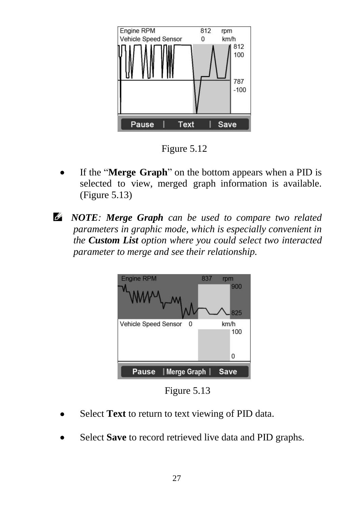

Figure 5.12

- If the "**Merge Graph**" on the bottom appears when a PID is selected to view, merged graph information is available. (Figure 5.13)
- *NOTE: Merge Graph can be used to compare two related parameters in graphic mode, which is especially convenient in the Custom List option where you could select two interacted parameter to merge and see their relationship.*



Figure 5.13

- Select **Text** to return to text viewing of PID data.
- Select **Save** to record retrieved live data and PID graphs.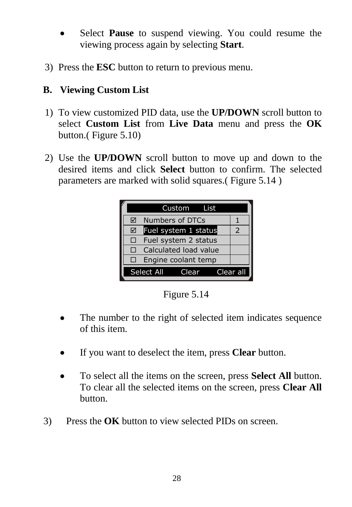- Select **Pause** to suspend viewing. You could resume the viewing process again by selecting **Start**.
- 3) Press the **ESC** button to return to previous menu.

#### **B. Viewing Custom List**

- 1) To view customized PID data, use the **UP/DOWN** scroll button to select **Custom List** from **Live Data** menu and press the **OK** button.( Figure 5.10)
- 2) Use the **UP/DOWN** scroll button to move up and down to the desired items and click **Select** button to confirm. The selected parameters are marked with solid squares.( Figure 5.14 )

|                       |                      | Custom List           |  |           |
|-----------------------|----------------------|-----------------------|--|-----------|
| ☑                     | Numbers of DTCs      |                       |  |           |
| ☑                     |                      | Fuel system 1 status  |  | 2         |
| □                     | Fuel system 2 status |                       |  |           |
| ГI                    |                      | Calculated load value |  |           |
|                       | Engine coolant temp  |                       |  |           |
| Select All<br>Clear L |                      |                       |  | Clear all |

Figure 5.14

- The number to the right of selected item indicates sequence of this item.
- If you want to deselect the item, press **Clear** button.
- To select all the items on the screen, press **Select All** button. To clear all the selected items on the screen, press **Clear All**  button.
- 3) Press the **OK** button to view selected PIDs on screen.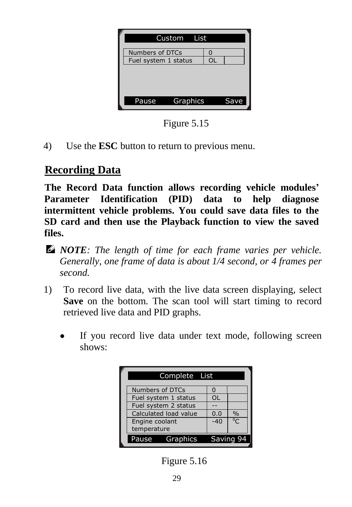| Custom List          |                  |  |
|----------------------|------------------|--|
| Numbers of DTCs      |                  |  |
| Fuel system 1 status |                  |  |
|                      |                  |  |
| <b>Pause</b>         | Graphics<br>Save |  |

Figure 5.15

4) Use the **ESC** button to return to previous menu.

#### **Recording Data**

**The Record Data function allows recording vehicle modules' Parameter Identification (PID) data to help diagnose intermittent vehicle problems. You could save data files to the SD card and then use the Playback function to view the saved files.**

- *NOTE: The length of time for each frame varies per vehicle. Generally, one frame of data is about 1/4 second, or 4 frames per second.*
- 1) To record live data, with the live data screen displaying, select **Save** on the bottom. The scan tool will start timing to record retrieved live data and PID graphs.
	- If you record live data under text mode, following screen shows:

| Complete List          |       |               |  |  |
|------------------------|-------|---------------|--|--|
| <b>Numbers of DTCs</b> |       |               |  |  |
| Fuel system 1 status   | OL    |               |  |  |
| Fuel system 2 status   |       |               |  |  |
| Calculated load value  | 0.0   | $\frac{0}{0}$ |  |  |
| Engine coolant         | $-40$ | $^0$ C        |  |  |
| temperature            |       |               |  |  |
| Graphics<br>Pause      |       | Saving 94     |  |  |

Figure 5.16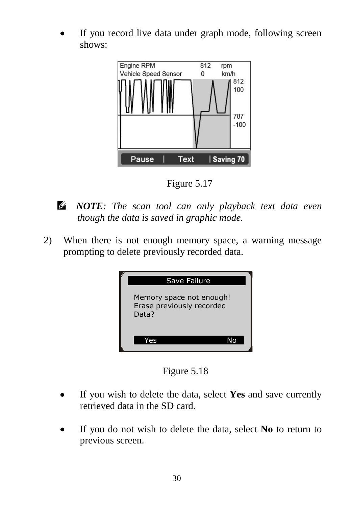If you record live data under graph mode, following screen shows:



Figure 5.17

- *NOTE: The scan tool can only playback text data even though the data is saved in graphic mode.*
- 2) When there is not enough memory space, a warning message prompting to delete previously recorded data.



Figure 5.18

- If you wish to delete the data, select **Yes** and save currently retrieved data in the SD card.
- If you do not wish to delete the data, select **No** to return to previous screen.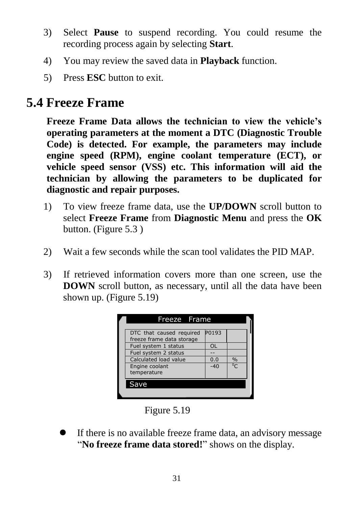- 3) Select **Pause** to suspend recording. You could resume the recording process again by selecting **Start**.
- 4) You may review the saved data in **Playback** function.
- 5) Press **ESC** button to exit.

## **5.4 Freeze Frame**

**Freeze Frame Data allows the technician to view the vehicle's operating parameters at the moment a DTC (Diagnostic Trouble Code) is detected. For example, the parameters may include engine speed (RPM), engine coolant temperature (ECT), or vehicle speed sensor (VSS) etc. This information will aid the technician by allowing the parameters to be duplicated for diagnostic and repair purposes.**

- 1) To view freeze frame data, use the **UP/DOWN** scroll button to select **Freeze Frame** from **Diagnostic Menu** and press the **OK** button. (Figure 5.3 )
- 2) Wait a few seconds while the scan tool validates the PID MAP.
- 3) If retrieved information covers more than one screen, use the **DOWN** scroll button, as necessary, until all the data have been shown up. (Figure 5.19)

| Freeze Frame                                          |           |               |  |
|-------------------------------------------------------|-----------|---------------|--|
| DTC that caused required<br>freeze frame data storage | P0193     |               |  |
| Fuel system 1 status                                  | <b>OL</b> |               |  |
| Fuel system 2 status                                  |           |               |  |
| Calculated load value                                 | 0.0       | $\frac{0}{n}$ |  |
| Engine coolant<br>temperature                         | $-40$     | $^0C$         |  |
| Save                                                  |           |               |  |
|                                                       |           |               |  |

Figure 5.19

 If there is no available freeze frame data, an advisory message "**No freeze frame data stored!**" shows on the display.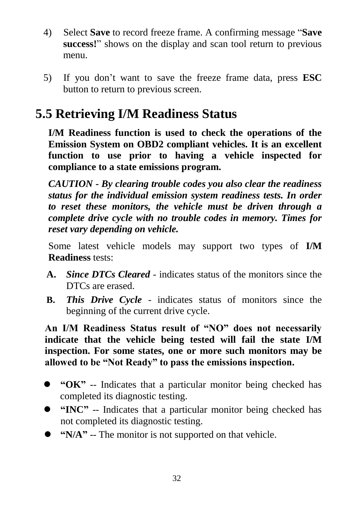- 4) Select **Save** to record freeze frame. A confirming message "**Save success!**" shows on the display and scan tool return to previous menu.
- 5) If you don't want to save the freeze frame data, press **ESC** button to return to previous screen.

## **5.5 Retrieving I/M Readiness Status**

**I/M Readiness function is used to check the operations of the Emission System on OBD2 compliant vehicles. It is an excellent function to use prior to having a vehicle inspected for compliance to a state emissions program.**

*CAUTION - By clearing trouble codes you also clear the readiness status for the individual emission system readiness tests. In order to reset these monitors, the vehicle must be driven through a complete drive cycle with no trouble codes in memory. Times for reset vary depending on vehicle.*

Some latest vehicle models may support two types of **I/M Readiness** tests:

- **A.** *Since DTCs Cleared -* indicates status of the monitors since the DTCs are erased.
- **B.** *This Drive Cycle*  indicates status of monitors since the beginning of the current drive cycle.

**An I/M Readiness Status result of "NO" does not necessarily indicate that the vehicle being tested will fail the state I/M inspection. For some states, one or more such monitors may be allowed to be "Not Ready" to pass the emissions inspection.** 

- **"OK"** -- Indicates that a particular monitor being checked has completed its diagnostic testing.
- **"INC"** -- Indicates that a particular monitor being checked has not completed its diagnostic testing.
- **"** "N/A" -- The monitor is not supported on that vehicle.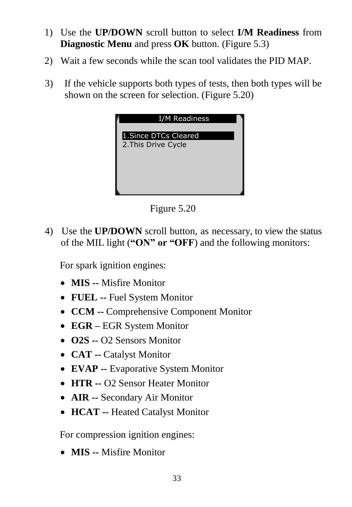- 1) Use the **UP/DOWN** scroll button to select **I/M Readiness** from **Diagnostic Menu** and press **OK** button. (Figure 5.3)
- 2) Wait a few seconds while the scan tool validates the PID MAP.
- 3) If the vehicle supports both types of tests, then both types will be shown on the screen for selection. (Figure 5.20)



Figure 5.20

4) Use the **UP/DOWN** scroll button, as necessary, to view the status of the MIL light (**"ON" or "OFF**) and the following monitors:

For spark ignition engines:

- **MIS --** Misfire Monitor
- **FUEL --** Fuel System Monitor
- **CCM --** Comprehensive Component Monitor
- **EGR –** EGR System Monitor
- **O2S --** O2 Sensors Monitor
- **CAT --** Catalyst Monitor
- **EVAP --** Evaporative System Monitor
- **HTR --** O2 Sensor Heater Monitor
- **AIR --** Secondary Air Monitor
- **HCAT --** Heated Catalyst Monitor

For compression ignition engines:

**MIS --** Misfire Monitor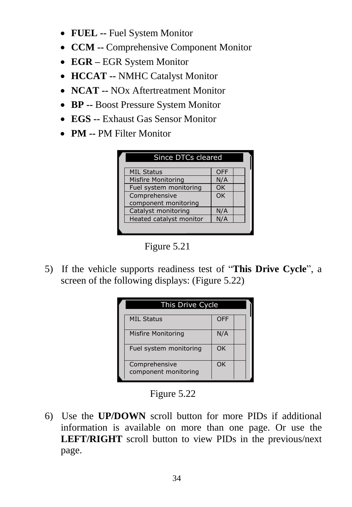- **FUEL --** Fuel System Monitor
- **CCM --** Comprehensive Component Monitor
- **EGR –** EGR System Monitor
- **HCCAT --** NMHC Catalyst Monitor
- **NCAT --** NOx Aftertreatment Monitor
- **BP --** Boost Pressure System Monitor
- **EGS --** Exhaust Gas Sensor Monitor
- **PM --** PM Filter Monitor



5) If the vehicle supports readiness test of "**This Drive Cycle**", a screen of the following displays: (Figure 5.22)

| This Drive Cycle                      |     |  |  |
|---------------------------------------|-----|--|--|
| <b>MIL Status</b>                     | OFF |  |  |
| <b>Misfire Monitoring</b>             | N/A |  |  |
| Fuel system monitoring                | OK  |  |  |
| Comprehensive<br>component monitoring | OK  |  |  |

Figure  $5.22$ 

6) Use the **UP/DOWN** scroll button for more PIDs if additional information is available on more than one page. Or use the **LEFT/RIGHT** scroll button to view PIDs in the previous/next page.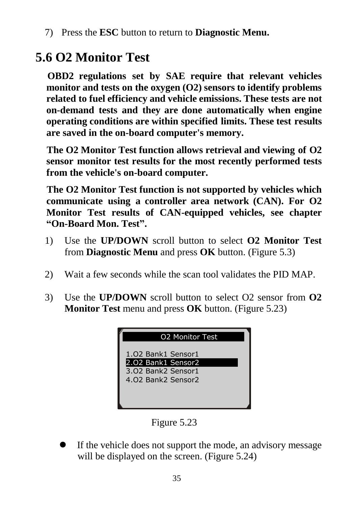7) Press the **ESC** button to return to **Diagnostic Menu.**

## **5.6 O2 Monitor Test**

**OBD2 regulations set by SAE require that relevant vehicles monitor and tests on the oxygen (O2) sensors to identify problems related to fuel efficiency and vehicle emissions. These tests are not on-demand tests and they are done automatically when engine operating conditions are within specified limits. These test results are saved in the on-board computer's memory.**

**The O2 Monitor Test function allows retrieval and viewing of O2 sensor monitor test results for the most recently performed tests from the vehicle's on-board computer.**

**The O2 Monitor Test function is not supported by vehicles which communicate using a controller area network (CAN). For O2 Monitor Test results of CAN-equipped vehicles, see chapter "On-Board Mon. Test".**

- 1) Use the **UP/DOWN** scroll button to select **O2 Monitor Test** from **Diagnostic Menu** and press **OK** button. (Figure 5.3)
- 2) Wait a few seconds while the scan tool validates the PID MAP.
- 3) Use the **UP/DOWN** scroll button to select O2 sensor from **O2 Monitor Test** menu and press **OK** button. (Figure 5.23)



Figure 5.23

 If the vehicle does not support the mode, an advisory message will be displayed on the screen. (Figure 5.24)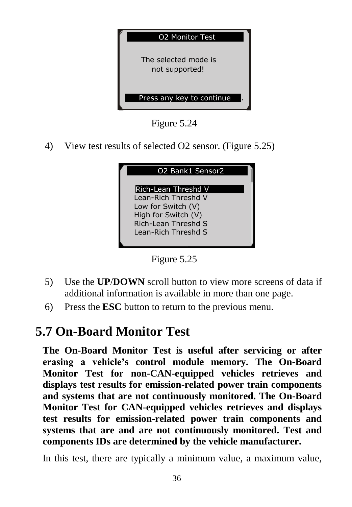

Figure 5.24

4) View test results of selected O2 sensor. (Figure 5.25)

| O2 Bank1 Sensor2                                                                                                                      |
|---------------------------------------------------------------------------------------------------------------------------------------|
| Rich-Lean Threshd V<br>Lean-Rich Threshd V<br>Low for Switch (V)<br>High for Switch (V)<br>Rich-Lean Threshd S<br>Lean-Rich Threshd S |



- 5) Use the **UP**/**DOWN** scroll button to view more screens of data if additional information is available in more than one page.
- 6) Press the **ESC** button to return to the previous menu.

#### **5.7 On-Board Monitor Test**

**The On-Board Monitor Test is useful after servicing or after erasing a vehicle's control module memory. The On-Board Monitor Test for non-CAN-equipped vehicles retrieves and displays test results for emission-related power train components and systems that are not continuously monitored. The On-Board Monitor Test for CAN-equipped vehicles retrieves and displays test results for emission-related power train components and systems that are and are not continuously monitored. Test and components IDs are determined by the vehicle manufacturer.**

In this test, there are typically a minimum value, a maximum value,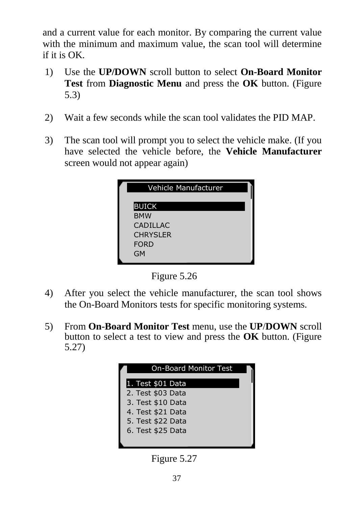and a current value for each monitor. By comparing the current value with the minimum and maximum value, the scan tool will determine if it is OK.

- 1) Use the **UP/DOWN** scroll button to select **On-Board Monitor Test** from **Diagnostic Menu** and press the **OK** button. (Figure 5.3)
- 2) Wait a few seconds while the scan tool validates the PID MAP.
- 3) The scan tool will prompt you to select the vehicle make. (If you have selected the vehicle before, the **Vehicle Manufacturer** screen would not appear again)

| Vehicle Manufacturer |
|----------------------|
|                      |
| BUICK                |
| <b>BMW</b>           |
| <b>CADILLAC</b>      |
| <b>CHRYSLER</b>      |
| <b>FORD</b>          |
| GM                   |
|                      |

Figure 5.26

- 4) After you select the vehicle manufacturer, the scan tool shows the On-Board Monitors tests for specific monitoring systems.
- 5) From **On-Board Monitor Test** menu, use the **UP**/**DOWN** scroll button to select a test to view and press the **OK** button. (Figure 5.27)



Figure 5.27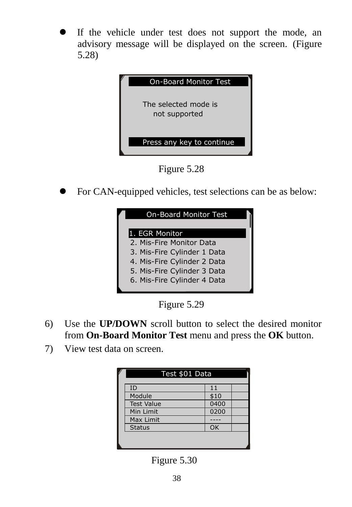If the vehicle under test does not support the mode, an advisory message will be displayed on the screen. (Figure 5.28)



Figure 5.28

For CAN-equipped vehicles, test selections can be as below:

| <b>On-Board Monitor Test</b> |  |
|------------------------------|--|
| 1. EGR Monitor               |  |
| 2. Mis-Fire Monitor Data     |  |
| 3. Mis-Fire Cylinder 1 Data  |  |
| 4. Mis-Fire Cylinder 2 Data  |  |
| 5. Mis-Fire Cylinder 3 Data  |  |
| 6. Mis-Fire Cylinder 4 Data  |  |
|                              |  |

Figure 5.29

- 6) Use the **UP/DOWN** scroll button to select the desired monitor from **On-Board Monitor Test** menu and press the **OK** button.
- 7) View test data on screen.

| Test \$01 Data    |      |  |  |  |
|-------------------|------|--|--|--|
| ID                |      |  |  |  |
| Module            | \$10 |  |  |  |
| <b>Test Value</b> | 0400 |  |  |  |
| Min Limit         | 0200 |  |  |  |
| Max Limit         |      |  |  |  |
| <b>Status</b>     | OK   |  |  |  |
|                   |      |  |  |  |
|                   |      |  |  |  |

Figure 5.30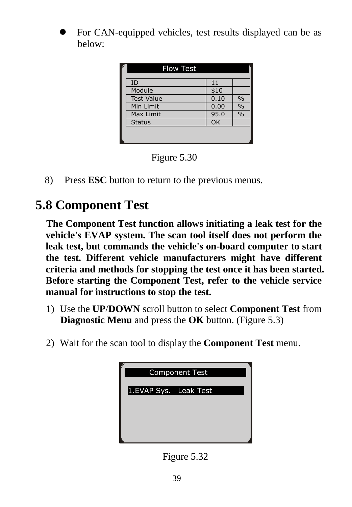For CAN-equipped vehicles, test results displayed can be as below:

| <b>Flow Test</b>  |      |               |
|-------------------|------|---------------|
| ID                | 11   |               |
| Module            | \$10 |               |
| <b>Test Value</b> | 0.10 | $\%$          |
| Min Limit         | 0.00 | $\%$          |
| Max Limit         | 95.0 | $\frac{0}{0}$ |
| <b>Status</b>     | OK   |               |
|                   |      |               |
|                   |      |               |



8) Press **ESC** button to return to the previous menus.

## **5.8 Component Test**

**The Component Test function allows initiating a leak test for the vehicle's EVAP system. The scan tool itself does not perform the leak test, but commands the vehicle's on-board computer to start the test. Different vehicle manufacturers might have different criteria and methods for stopping the test once it has been started. Before starting the Component Test, refer to the vehicle service manual for instructions to stop the test.**

- 1) Use the **UP**/**DOWN** scroll button to select **Component Test** from **Diagnostic Menu** and press the **OK** button. (Figure 5.3)
- 2) Wait for the scan tool to display the **Component Test** menu.



Figure 5.32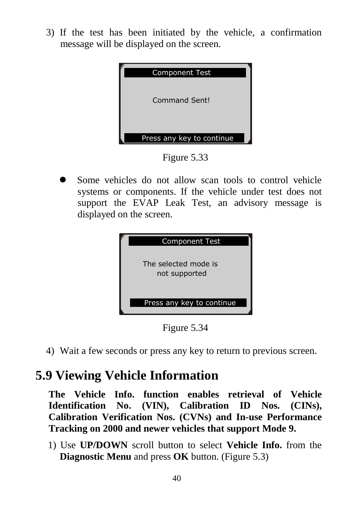3) If the test has been initiated by the vehicle, a confirmation message will be displayed on the screen.



Figure 5.33

 Some vehicles do not allow scan tools to control vehicle systems or components. If the vehicle under test does not support the EVAP Leak Test, an advisory message is displayed on the screen.



Figure 5.34

4) Wait a few seconds or press any key to return to previous screen.

## **5.9 Viewing Vehicle Information**

**The Vehicle Info. function enables retrieval of Vehicle Identification No. (VIN), Calibration ID Nos. (CINs), Calibration Verification Nos. (CVNs) and In-use Performance Tracking on 2000 and newer vehicles that support Mode 9.** 

1) Use **UP/DOWN** scroll button to select **Vehicle Info.** from the **Diagnostic Menu** and press **OK** button. (Figure 5.3)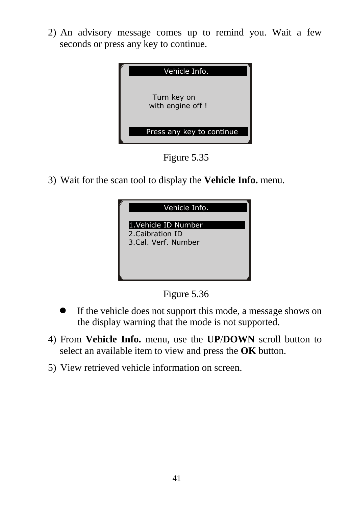2) An advisory message comes up to remind you. Wait a few seconds or press any key to continue.



Figure 5.35

3) Wait for the scan tool to display the **Vehicle Info.** menu.



Figure 5.36

- If the vehicle does not support this mode, a message shows on the display warning that the mode is not supported.
- 4) From **Vehicle Info.** menu, use the **UP**/**DOWN** scroll button to select an available item to view and press the **OK** button.
- 5) View retrieved vehicle information on screen.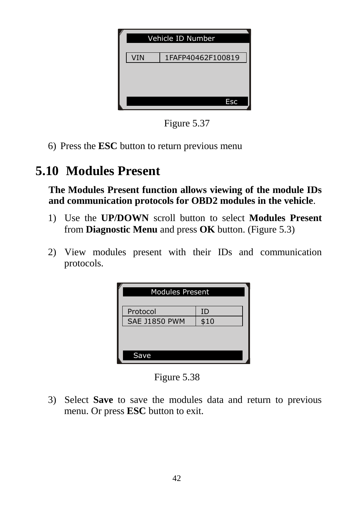| Vehicle ID Number |                   |  |  |  |  |  |
|-------------------|-------------------|--|--|--|--|--|
| VIN               | 1FAFP40462F100819 |  |  |  |  |  |
|                   |                   |  |  |  |  |  |
|                   |                   |  |  |  |  |  |
|                   | <b>Esc</b>        |  |  |  |  |  |

Figure 5.37

6) Press the **ESC** button to return previous menu

## **5.10 Modules Present**

**The Modules Present function allows viewing of the module IDs and communication protocols for OBD2 modules in the vehicle**.

- 1) Use the **UP/DOWN** scroll button to select **Modules Present** from **Diagnostic Menu** and press **OK** button. (Figure 5.3)
- 2) View modules present with their IDs and communication protocols.

| <b>Modules Present</b> |      |  |  |  |  |
|------------------------|------|--|--|--|--|
| Protocol               | ID   |  |  |  |  |
| <b>SAE J1850 PWM</b>   | \$10 |  |  |  |  |
|                        |      |  |  |  |  |
| Save                   |      |  |  |  |  |

Figure 5.38

3) Select **Save** to save the modules data and return to previous menu. Or press **ESC** button to exit.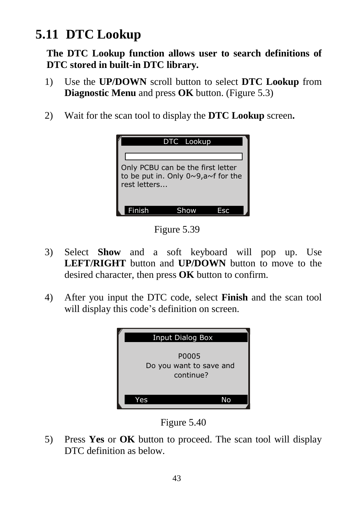## **5.11 DTC Lookup**

**The DTC Lookup function allows user to search definitions of DTC stored in built-in DTC library.**

- 1) Use the **UP/DOWN** scroll button to select **DTC Lookup** from **Diagnostic Menu** and press **OK** button. (Figure 5.3)
- 2) Wait for the scan tool to display the **DTC Lookup** screen**.**

|                                                                                                         | DTC Lookup |  |
|---------------------------------------------------------------------------------------------------------|------------|--|
| Only PCBU can be the first letter<br>to be put in. Only $0 \sim 9$ , a $\sim$ f for the<br>rest letters |            |  |
| <b>Einish</b>                                                                                           |            |  |

Figure 5.39

- 3) Select **Show** and a soft keyboard will pop up. Use **LEFT/RIGHT** button and **UP/DOWN** button to move to the desired character, then press **OK** button to confirm.
- 4) After you input the DTC code, select **Finish** and the scan tool will display this code's definition on screen.



Figure 5.40

5) Press **Yes** or **OK** button to proceed. The scan tool will display DTC definition as below.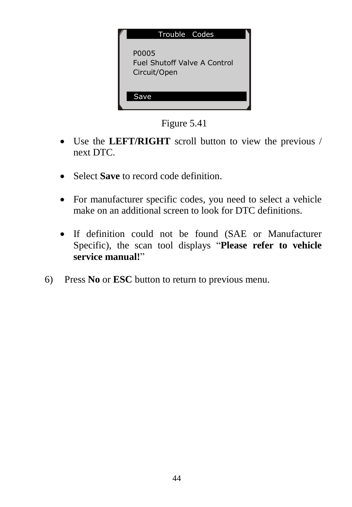

Figure 5.41

- Use the **LEFT/RIGHT** scroll button to view the previous / next DTC.
- Select **Save** to record code definition.
- For manufacturer specific codes, you need to select a vehicle make on an additional screen to look for DTC definitions.
- If definition could not be found (SAE or Manufacturer Specific), the scan tool displays "**Please refer to vehicle service manual!**"
- 6) Press **No** or **ESC** button to return to previous menu.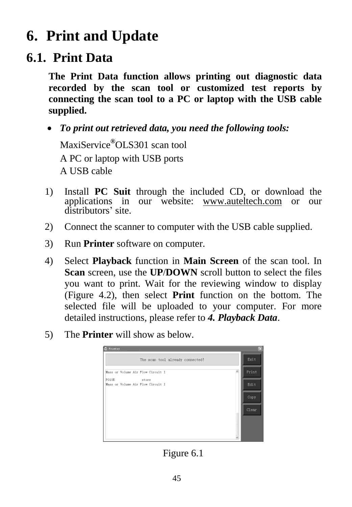# **6. Print and Update**

#### <span id="page-46-0"></span>**6.1. Print Data**

**The Print Data function allows printing out diagnostic data recorded by the scan tool or customized test reports by connecting the scan tool to a PC or laptop with the USB cable supplied.**

 *To print out retrieved data, you need the following tools:* MaxiService**®**OLS301 scan tool

A PC or laptop with USB ports A USB cable

- 1) Install **PC Suit** through the included CD, or download the applications in our website: [www.auteltech.com](http://www.auteltech.com/) or our distributors' site.
- 2) Connect the scanner to computer with the USB cable supplied.
- 3) Run **Printer** software on computer.
- 4) Select **Playback** function in **Main Screen** of the scan tool. In **Scan** screen, use the **UP**/**DOWN** scroll button to select the files you want to print. Wait for the reviewing window to display (Figure 4.2), then select **Print** function on the bottom. The selected file will be uploaded to your computer. For more detailed instructions, please refer to *4. Playback Data*.
- 5) The **Printer** will show as below.



Figure 6.1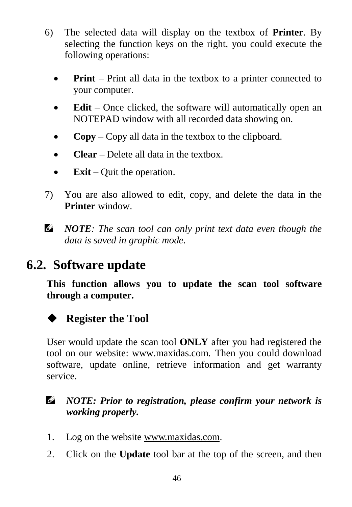- 6) The selected data will display on the textbox of **Printer**. By selecting the function keys on the right, you could execute the following operations:
	- **Print** Print all data in the textbox to a printer connected to your computer.
	- **Edit** Once clicked, the software will automatically open an NOTEPAD window with all recorded data showing on.
	- **Copy** Copy all data in the textbox to the clipboard.
	- **Clear** Delete all data in the textbox.
	- **Exit** Quit the operation.
- 7) You are also allowed to edit, copy, and delete the data in the **Printer** window.
- *NOTE: The scan tool can only print text data even though the data is saved in graphic mode.*

## <span id="page-47-0"></span>**6.2. Software update**

**This function allows you to update the scan tool software through a computer.**



User would update the scan tool **ONLY** after you had registered the tool on our website: www.maxidas.com. Then you could download software, update online, retrieve information and get warranty service.

#### *NOTE: Prior to registration, please confirm your network is working properly.*

- 1. Log on the website [www.maxidas.com](http://www.maxidas.com/).
- 2. Click on the **Update** tool bar at the top of the screen, and then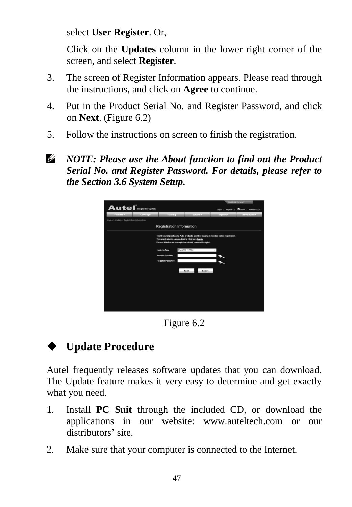select **User Register**. Or,

Click on the **Updates** column in the lower right corner of the screen, and select **Register**.

- 3. The screen of Register Information appears. Please read through the instructions, and click on **Agree** to continue.
- 4. Put in the Product Serial No. and Register Password, and click on **Next**. (Figure 6.2)
- 5. Follow the instructions on screen to finish the registration.
- O) *NOTE: Please use the About function to find out the Product Serial No. and Register Password. For details, please refer to the Section 3.6 System Setup.*



Figure 6.2

#### **Update Procedure**

Autel frequently releases software updates that you can download. The Update feature makes it very easy to determine and get exactly what you need.

- 1. Install **PC Suit** through the included CD, or download the applications in our website: [www.auteltech.com](http://www.auteltech.com/) or our distributors' site.
- 2. Make sure that your computer is connected to the Internet.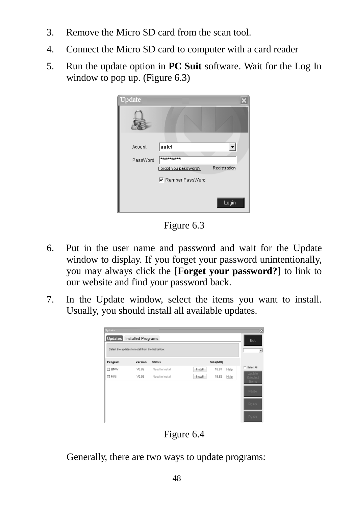- 3. Remove the Micro SD card from the scan tool.
- 4. Connect the Micro SD card to computer with a card reader
- 5. Run the update option in **PC Suit** software. Wait for the Log In window to pop up. (Figure 6.3)

| Update   |                                                               |              |
|----------|---------------------------------------------------------------|--------------|
|          |                                                               |              |
| Acount   | autel                                                         |              |
| PassWord | *********<br>Forgot you password?<br><b>▽</b> Rember PassWord | Registration |
|          |                                                               | Login        |

Figure 6.3

- 6. Put in the user name and password and wait for the Update window to display. If you forget your password unintentionally, you may always click the [**Forget your password?**] to link to our website and find your password back.
- 7. In the Update window, select the items you want to install. Usually, you should install all available updates.

|               | Select the updates to install from the list bellow: |                 |         |          |      |                                    |
|---------------|-----------------------------------------------------|-----------------|---------|----------|------|------------------------------------|
| Program       | Version                                             | <b>Status</b>   |         | Size(MB) |      |                                    |
| <b>EI BMW</b> | VB.99                                               | Need to Install | Install | 18.81    | Help | г<br>Select All                    |
| $\square$ MN  | V0.99                                               | Need to Install | Install | 18.82    | Help | <b>Undate</b><br>Selected<br>Items |
|               |                                                     |                 |         |          |      | Pause                              |
|               |                                                     |                 |         |          |      | Paup                               |

Figure 6.4

Generally, there are two ways to update programs: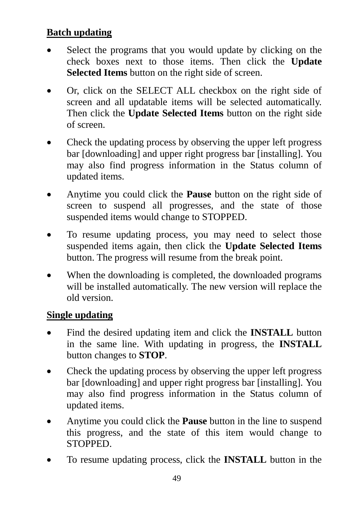#### **Batch updating**

- Select the programs that you would update by clicking on the check boxes next to those items. Then click the **Update Selected Items** button on the right side of screen.
- Or, click on the SELECT ALL checkbox on the right side of screen and all updatable items will be selected automatically. Then click the **Update Selected Items** button on the right side of screen.
- Check the updating process by observing the upper left progress bar [downloading] and upper right progress bar [installing]. You may also find progress information in the Status column of updated items.
- Anytime you could click the **Pause** button on the right side of screen to suspend all progresses, and the state of those suspended items would change to STOPPED.
- To resume updating process, you may need to select those suspended items again, then click the **Update Selected Items**  button. The progress will resume from the break point.
- When the downloading is completed, the downloaded programs will be installed automatically. The new version will replace the old version.

#### **Single updating**

- Find the desired updating item and click the **INSTALL** button in the same line. With updating in progress, the **INSTALL** button changes to **STOP**.
- Check the updating process by observing the upper left progress bar [downloading] and upper right progress bar [installing]. You may also find progress information in the Status column of updated items.
- Anytime you could click the **Pause** button in the line to suspend this progress, and the state of this item would change to STOPPED.
- To resume updating process, click the **INSTALL** button in the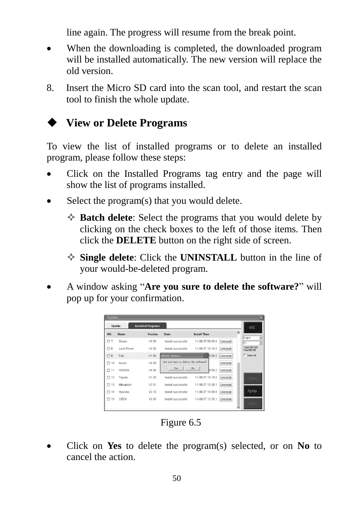line again. The progress will resume from the break point.

- When the downloading is completed, the downloaded program will be installed automatically. The new version will replace the old version.
- 8. Insert the Micro SD card into the scan tool, and restart the scan tool to finish the whole update.

#### **View or Delete Programs**

To view the list of installed programs or to delete an installed program, please follow these steps:

- Click on the Installed Programs tag entry and the page will show the list of programs installed.
- Select the program(s) that you would delete.
	- $\Diamond$  **Batch delete**: Select the programs that you would delete by clicking on the check boxes to the left of those items. Then click the **DELETE** button on the right side of screen.
	- **Single delete**: Click the **UNINSTALL** button in the line of your would-be-deleted program.
- A window asking "**Are you sure to delete the software?**" will pop up for your confirmation.

| <b>Update</b> |              |                           |                                      |                          |                  | ×                                     |
|---------------|--------------|---------------------------|--------------------------------------|--------------------------|------------------|---------------------------------------|
| Undate        |              | <b>Installed Programs</b> |                                      |                          |                  | esc                                   |
| NO.           | Name.        | Version                   | State.                               | Install Time             |                  |                                       |
| $\Box$ 7      | Skoda        | V3.00                     | Install successful                   | 11-09-27 09:00:4         | Uninstall        | $\overline{ }$<br>English<br>ES.<br>× |
| $\Box$ 8      | Land Rover   | V3.00                     | Install successful                   | 11-09-27 10:18:3         | Uninstall        | Total1991 MB<br>Free: 569 MB          |
| $\Box$ 9      | Fint         | V1.00                     | DS708 Dodate                         | 9.56:2                   | Uninstall        | <b>F</b> SelectAI                     |
| $\Box$ 10     | Acura        | V4 00                     | Are you mure to delete the software? |                          | Uninstall        |                                       |
| $\Box$ 11     | <b>HONDA</b> | V4.00                     | Yes                                  | N <sub>0</sub><br>9.56:2 | Uninstall        |                                       |
| $\Box$ 12     | Toyota       | V1.03                     | Install successful                   | 11-09-27 10:19:2         | <b>Uninstall</b> | Delete                                |
| $\Box$ 13     | Mitsubishi   | V2.01                     | Install successful                   | 11-08-27 13:38:1         | Uninstall        |                                       |
| $\Box$ 14     | Hyundai      | V2 10                     | Install successful                   | 11-09-27 14:59:4         | Uninstall        | Patto                                 |
| $\Box$ 15     | OBDI         | V3.00                     | Instal successful                    | 11-09-27 13:35:1         | Uninstall        |                                       |
|               |              |                           |                                      |                          |                  | Pa Dn                                 |

Figure 6.5

 Click on **Yes** to delete the program(s) selected, or on **No** to cancel the action.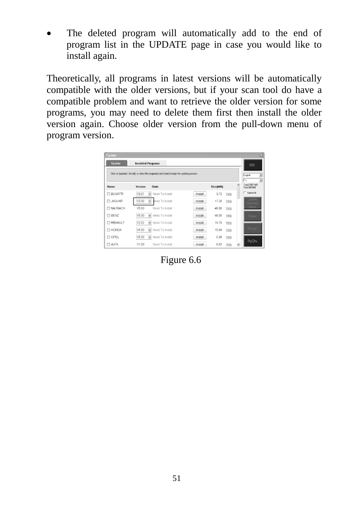The deleted program will automatically add to the end of program list in the UPDATE page in case you would like to install again.

Theoretically, all programs in latest versions will be automatically compatible with the older versions, but if your scan tool do have a compatible problem and want to retrieve the older version for some programs, you may need to delete them first then install the older version again. Choose older version from the pull-down menu of program version.

| Update            |                                                                                                   |                  |      | ×                            |
|-------------------|---------------------------------------------------------------------------------------------------|------------------|------|------------------------------|
| <b>Update</b>     | <b>Installed Programs</b>                                                                         |                  |      | ESC.                         |
|                   | Click on Jupdate] / [install], or select the program(s) and [start] to begin the updating process |                  |      | Ξ<br>English<br>EN.<br>×     |
| Name              | Version<br><b>State</b>                                                                           | Size[MB]         |      | Total 1991 MB<br>Free 569 MB |
| <b>EI BUGATTI</b> | V3.01<br>Need To Install                                                                          | 3.72<br>Install  | Help | E Select All                 |
| <b>ELJAGUAR</b>   | V3.00<br><b>Need To Install</b>                                                                   | 17.26<br>Install | Help | <b>Lindate</b><br>ded        |
| <b>FI MAYBACH</b> | V5.00<br>Need To Install                                                                          | 46.86<br>Install | Help | ms                           |
| <b>FI BENZ</b>    | V5.00<br>Need To Install<br>$\checkmark$                                                          | 46.85<br>Install | Help | Pause                        |
| <b>FI RENAULT</b> | V2.02<br>Need To Install<br>$\checkmark$                                                          | 14.75<br>Install | Help |                              |
| <b>E HONDA</b>    | V4.00<br>$\checkmark$<br>Need To Install                                                          | 10.94<br>Install | Help | Pg Up                        |
| <b>ITI OPEL</b>   | V5.00<br>Need To Install<br>$\checkmark$                                                          | 5.98<br>Install  | Help | PaDn                         |
| <b>ELALFA</b>     | Need To Install<br>V1.00                                                                          | 6.63<br>Install  | Help |                              |

Figure 6.6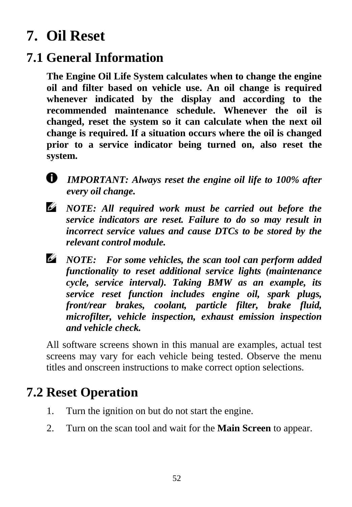# <span id="page-53-0"></span>**7. Oil Reset**

## <span id="page-53-1"></span>**7.1 General Information**

**The Engine Oil Life System calculates when to change the engine oil and filter based on vehicle use. An oil change is required whenever indicated by the display and according to the recommended maintenance schedule. Whenever the oil is changed, reset the system so it can calculate when the next oil change is required. If a situation occurs where the oil is changed prior to a service indicator being turned on, also reset the system.**

*IMPORTANT: Always reset the engine oil life to 100% after every oil change.*

*NOTE: All required work must be carried out before the service indicators are reset. Failure to do so may result in incorrect service values and cause DTCs to be stored by the relevant control module.*

*NOTE: For some vehicles, the scan tool can perform added functionality to reset additional service lights (maintenance cycle, service interval). Taking BMW as an example, its service reset function includes engine oil, spark plugs, front/rear brakes, coolant, particle filter, brake fluid, microfilter, vehicle inspection, exhaust emission inspection and vehicle check.*

All software screens shown in this manual are examples, actual test screens may vary for each vehicle being tested. Observe the menu titles and onscreen instructions to make correct option selections.

## <span id="page-53-2"></span>**7.2 Reset Operation**

- 1. Turn the ignition on but do not start the engine.
- 2. Turn on the scan tool and wait for the **Main Screen** to appear.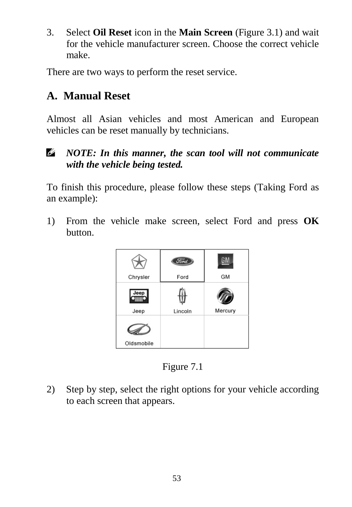3. Select **Oil Reset** icon in the **Main Screen** (Figure 3.1) and wait for the vehicle manufacturer screen. Choose the correct vehicle make.

There are two ways to perform the reset service.

#### **A. Manual Reset**

Almost all Asian vehicles and most American and European vehicles can be reset manually by technicians.

#### Ø *NOTE: In this manner, the scan tool will not communicate with the vehicle being tested.*

To finish this procedure, please follow these steps (Taking Ford as an example):

1) From the vehicle make screen, select Ford and press **OK** button.



Figure 7.1

2) Step by step, select the right options for your vehicle according to each screen that appears.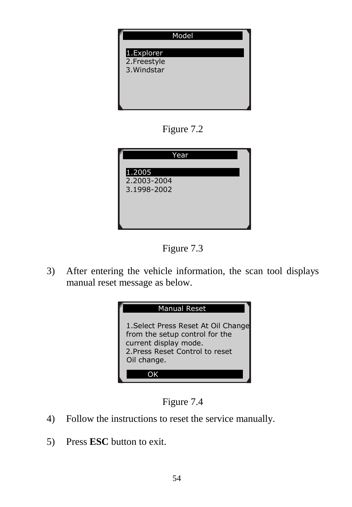

Figure 7.2





3) After entering the vehicle information, the scan tool displays manual reset message as below.





- 4) Follow the instructions to reset the service manually.
- 5) Press **ESC** button to exit.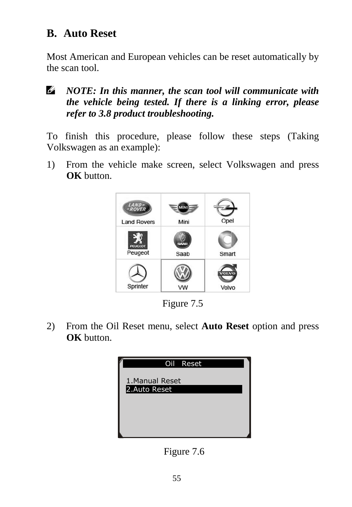#### **B. Auto Reset**

Most American and European vehicles can be reset automatically by the scan tool.

*NOTE: In this manner, the scan tool will communicate with the vehicle being tested. If there is a linking error, please refer to 3.8 product troubleshooting.*

To finish this procedure, please follow these steps (Taking Volkswagen as an example):

1) From the vehicle make screen, select Volkswagen and press **OK** button.



Figure 7.5

2) From the Oil Reset menu, select **Auto Reset** option and press **OK** button.



Figure 7.6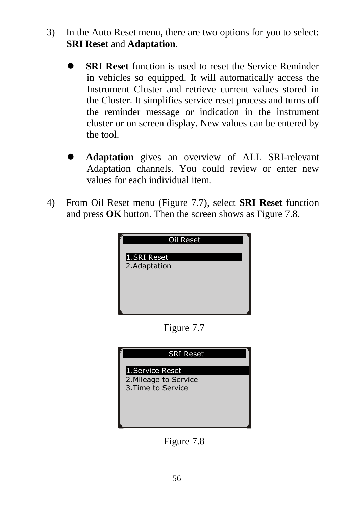- 3) In the Auto Reset menu, there are two options for you to select: **SRI Reset** and **Adaptation**.
	- **SRI Reset** function is used to reset the Service Reminder in vehicles so equipped. It will automatically access the Instrument Cluster and retrieve current values stored in the Cluster. It simplifies service reset process and turns off the reminder message or indication in the instrument cluster or on screen display. New values can be entered by the tool.
	- **Adaptation** gives an overview of ALL SRI-relevant Adaptation channels. You could review or enter new values for each individual item.
- 4) From Oil Reset menu (Figure 7.7), select **SRI Reset** function and press **OK** button. Then the screen shows as Figure 7.8.

| Oil Reset    |
|--------------|
| 1.SRI Reset  |
| 2.Adaptation |
|              |
|              |
|              |

Figure 7.7



Figure 7.8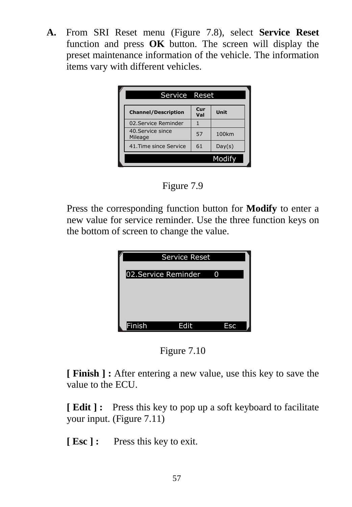**A.** From SRI Reset menu (Figure 7.8), select **Service Reset**  function and press **OK** button. The screen will display the preset maintenance information of the vehicle. The information items vary with different vehicles.





Press the corresponding function button for **Modify** to enter a new value for service reminder. Use the three function keys on the bottom of screen to change the value.

|                     | Service Reset |     |  |
|---------------------|---------------|-----|--|
|                     |               |     |  |
| 02.Service Reminder |               | 0   |  |
|                     |               |     |  |
|                     |               |     |  |
|                     |               |     |  |
|                     |               |     |  |
| Finish              | Edit          | Esc |  |

Figure 7.10

**[ Finish ] :** After entering a new value, use this key to save the value to the ECU.

**[ Edit ] :** Press this key to pop up a soft keyboard to facilitate your input. (Figure 7.11)

**[ Esc ] :** Press this key to exit.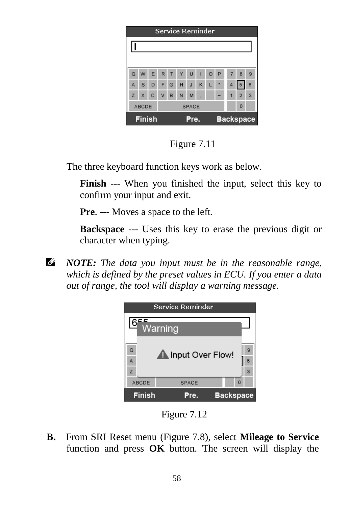|                                           | Service Reminder                  |     |        |   |    |   |              |                |   |                         |                |   |
|-------------------------------------------|-----------------------------------|-----|--------|---|----|---|--------------|----------------|---|-------------------------|----------------|---|
|                                           |                                   |     |        |   |    |   |              |                |   |                         |                |   |
|                                           |                                   |     |        |   |    |   |              |                |   |                         |                |   |
| $\Omega$                                  | W                                 |     | ERT    |   | YU |   | $\mathbf{I}$ | $\circ$        | P | $\overline{7}$          | 8              | 9 |
| A                                         | $\mathbf{s}$                      | DFG |        |   | HJ |   | $\kappa$     | $\mathbf{L}$ ) | 请 | $\overline{\mathbf{4}}$ | 5              | 6 |
|                                           | Z X C                             |     | $\vee$ | B | N  | M |              |                |   | 1                       | $\overline{2}$ | 3 |
|                                           | $\Omega$<br>ABCDE<br><b>SPACE</b> |     |        |   |    |   |              |                |   |                         |                |   |
| <b>Finish</b><br><b>Backspace</b><br>Pre. |                                   |     |        |   |    |   |              |                |   |                         |                |   |

Figure 7.11

The three keyboard function keys work as below.

**Finish** --- When you finished the input, select this key to confirm your input and exit.

**Pre**. --- Moves a space to the left.

**Backspace** --- Uses this key to erase the previous digit or character when typing.

Ø. *NOTE: The data you input must be in the reasonable range, which is defined by the preset values in ECU. If you enter a data out of range, the tool will display a warning message.*



Figure 7.12

**B.** From SRI Reset menu (Figure 7.8), select **Mileage to Service** function and press **OK** button. The screen will display the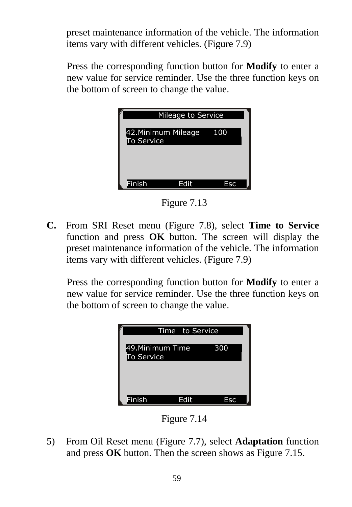preset maintenance information of the vehicle. The information items vary with different vehicles. (Figure 7.9)

Press the corresponding function button for **Modify** to enter a new value for service reminder. Use the three function keys on the bottom of screen to change the value.

|                                         | Mileage to Service |     |
|-----------------------------------------|--------------------|-----|
| 42.Minimum Mileage<br><b>To Service</b> |                    | 100 |
|                                         |                    |     |
|                                         |                    |     |
| Finish                                  | Edit               | Esc |

Figure 7.13

**C.** From SRI Reset menu (Figure 7.8), select **Time to Service** function and press **OK** button. The screen will display the preset maintenance information of the vehicle. The information items vary with different vehicles. (Figure 7.9)

Press the corresponding function button for **Modify** to enter a new value for service reminder. Use the three function keys on the bottom of screen to change the value.



Figure 7.14

5) From Oil Reset menu (Figure 7.7), select **Adaptation** function and press **OK** button. Then the screen shows as Figure 7.15.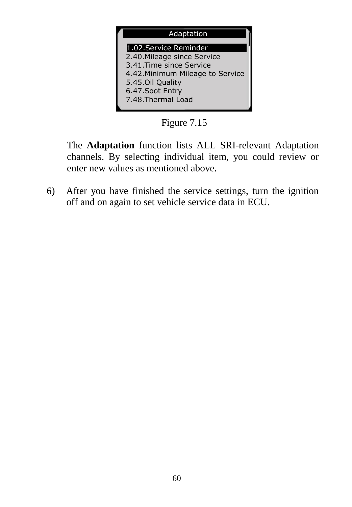

Figure 7.15

The **Adaptation** function lists ALL SRI-relevant Adaptation channels. By selecting individual item, you could review or enter new values as mentioned above.

6) After you have finished the service settings, turn the ignition off and on again to set vehicle service data in ECU.